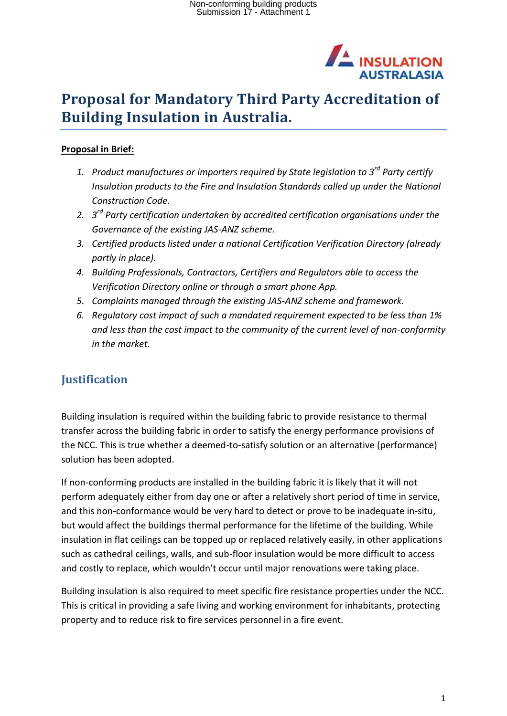

# **Proposal for Mandatory Third Party Accreditation of Building Insulation in Australia.**

### **Proposal in Brief:**

- *1. Product manufactures or importers required by State legislation to 3rd Party certify Insulation products to the Fire and Insulation Standards called up under the National Construction Code.*
- *2. 3 rd Party certification undertaken by accredited certification organisations under the Governance of the existing JAS-ANZ scheme.*
- *3. Certified products listed under a national Certification Verification Directory (already partly in place).*
- *4. Building Professionals, Contractors, Certifiers and Regulators able to access the Verification Directory online or through a smart phone App.*
- *5. Complaints managed through the existing JAS-ANZ scheme and framework.*
- *6. Regulatory cost impact of such a mandated requirement expected to be less than 1% and less than the cost impact to the community of the current level of non-conformity in the market.*

## **Justification**

Building insulation is required within the building fabric to provide resistance to thermal transfer across the building fabric in order to satisfy the energy performance provisions of the NCC. This is true whether a deemed-to-satisfy solution or an alternative (performance) solution has been adopted.

If non-conforming products are installed in the building fabric it is likely that it will not perform adequately either from day one or after a relatively short period of time in service, and this non-conformance would be very hard to detect or prove to be inadequate in-situ, but would affect the buildings thermal performance for the lifetime of the building. While insulation in flat ceilings can be topped up or replaced relatively easily, in other applications such as cathedral ceilings, walls, and sub-floor insulation would be more difficult to access and costly to replace, which wouldn't occur until major renovations were taking place.

Building insulation is also required to meet specific fire resistance properties under the NCC. This is critical in providing a safe living and working environment for inhabitants, protecting property and to reduce risk to fire services personnel in a fire event.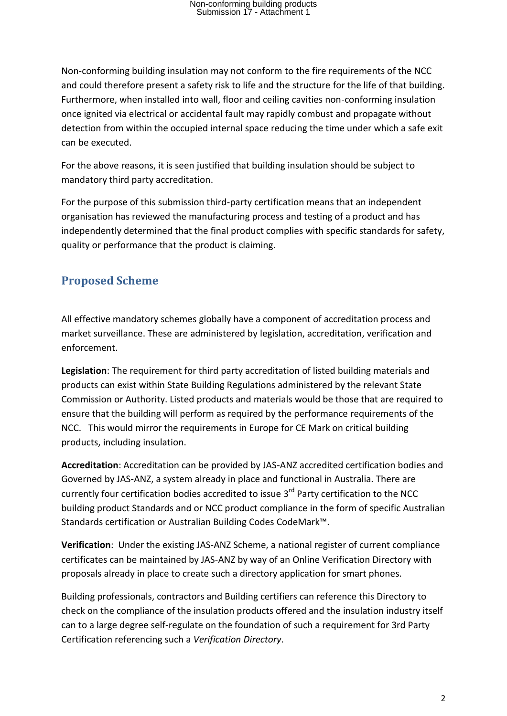Non-conforming building insulation may not conform to the fire requirements of the NCC and could therefore present a safety risk to life and the structure for the life of that building. Furthermore, when installed into wall, floor and ceiling cavities non-conforming insulation once ignited via electrical or accidental fault may rapidly combust and propagate without detection from within the occupied internal space reducing the time under which a safe exit can be executed.

For the above reasons, it is seen justified that building insulation should be subject to mandatory third party accreditation.

For the purpose of this submission third-party certification means that an independent organisation has reviewed the manufacturing process and testing of a product and has independently determined that the final product complies with specific standards for safety, quality or performance that the product is claiming.

## **Proposed Scheme**

All effective mandatory schemes globally have a component of accreditation process and market surveillance. These are administered by legislation, accreditation, verification and enforcement.

**Legislation**: The requirement for third party accreditation of listed building materials and products can exist within State Building Regulations administered by the relevant State Commission or Authority. Listed products and materials would be those that are required to ensure that the building will perform as required by the performance requirements of the NCC. This would mirror the requirements in Europe for CE Mark on critical building products, including insulation.

**Accreditation**: Accreditation can be provided by JAS-ANZ accredited certification bodies and Governed by JAS-ANZ, a system already in place and functional in Australia. There are currently four certification bodies accredited to issue 3<sup>rd</sup> Party certification to the NCC building product Standards and or NCC product compliance in the form of specific Australian Standards certification or Australian Building Codes CodeMark™.

**Verification**: Under the existing JAS-ANZ Scheme, a national register of current compliance certificates can be maintained by JAS-ANZ by way of an Online Verification Directory with proposals already in place to create such a directory application for smart phones.

Building professionals, contractors and Building certifiers can reference this Directory to check on the compliance of the insulation products offered and the insulation industry itself can to a large degree self-regulate on the foundation of such a requirement for 3rd Party Certification referencing such a *Verification Directory*.